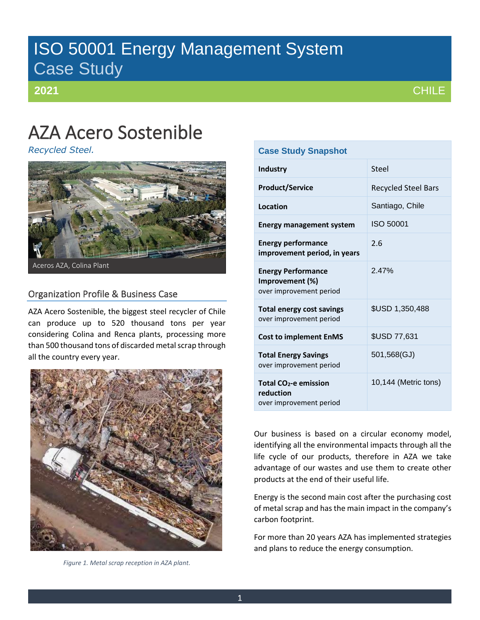# ISO 50001 Energy Management System Case Study

**2021**

# AZA Acero Sostenible

*Recycled Steel.*



## Organization Profile & Business Case

AZA Acero Sostenible, the biggest steel recycler of Chile can produce up to 520 thousand tons per year considering Colina and Renca plants, processing more than 500 thousand tons of discarded metal scrap through all the country every year.



*Figure 1. Metal scrap reception in AZA plant.*

| <b>Case Study Snapshot</b>                                                |                            |  |  |  |
|---------------------------------------------------------------------------|----------------------------|--|--|--|
| <b>Industry</b>                                                           | Steel                      |  |  |  |
| <b>Product/Service</b>                                                    | <b>Recycled Steel Bars</b> |  |  |  |
| <b>Location</b>                                                           | Santiago, Chile            |  |  |  |
| <b>Energy management system</b>                                           | ISO 50001                  |  |  |  |
| <b>Energy performance</b><br>improvement period, in years                 | 2.6                        |  |  |  |
| <b>Energy Performance</b><br>Improvement (%)<br>over improvement period   | 247%                       |  |  |  |
| <b>Total energy cost savings</b><br>over improvement period               | \$USD 1,350,488            |  |  |  |
| <b>Cost to implement EnMS</b>                                             | \$USD 77,631               |  |  |  |
| <b>Total Energy Savings</b><br>over improvement period                    | 501,568(GJ)                |  |  |  |
| Total CO <sub>2</sub> -e emission<br>reduction<br>over improvement period | 10,144 (Metric tons)       |  |  |  |

Our business is based on a circular economy model, identifying all the environmental impacts through all the life cycle of our products, therefore in AZA we take advantage of our wastes and use them to create other products at the end of their useful life.

Energy is the second main cost after the purchasing cost of metal scrap and has the main impact in the company's carbon footprint.

For more than 20 years AZA has implemented strategies and plans to reduce the energy consumption.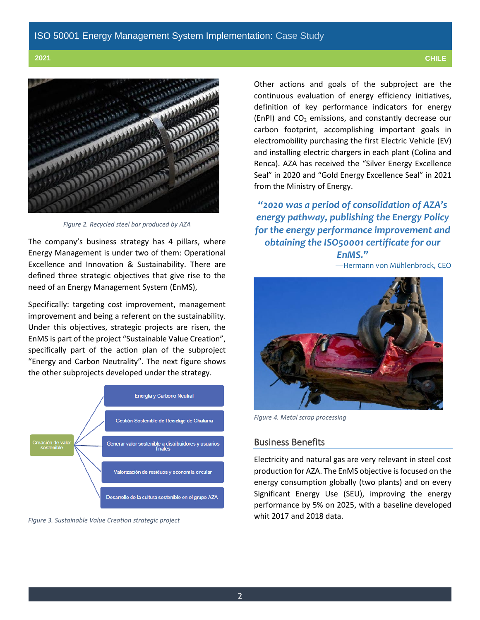

*Figure 2. Recycled steel bar produced by AZA*

The company's business strategy has 4 pillars, where Energy Management is under two of them: Operational Excellence and Innovation & Sustainability. There are defined three strategic objectives that give rise to the need of an Energy Management System (EnMS),

Specifically: targeting cost improvement, management improvement and being a referent on the sustainability. Under this objectives, strategic projects are risen, the EnMS is part of the project "Sustainable Value Creation", specifically part of the action plan of the subproject "Energy and Carbon Neutrality". The next figure shows the other subprojects developed under the strategy.



*Figure 3. Sustainable Value Creation strategic project*

Other actions and goals of the subproject are the continuous evaluation of energy efficiency initiatives, definition of key performance indicators for energy (EnPI) and CO<sup>2</sup> emissions, and constantly decrease our carbon footprint, accomplishing important goals in electromobility purchasing the first Electric Vehicle (EV) and installing electric chargers in each plant (Colina and Renca). AZA has received the "Silver Energy Excellence Seal" in 2020 and "Gold Energy Excellence Seal" in 2021 from the Ministry of Energy.

*"2020 was a period of consolidation of AZA's energy pathway, publishing the Energy Policy for the energy performance improvement and obtaining the ISO50001 certificate for our* 

*EnMS."* —Hermann von Mühlenbrock, CEO



*Figure 4. Metal scrap processing*

### Business Benefits

Electricity and natural gas are very relevant in steel cost production for AZA. The EnMS objective is focused on the energy consumption globally (two plants) and on every Significant Energy Use (SEU), improving the energy performance by 5% on 2025, with a baseline developed whit 2017 and 2018 data.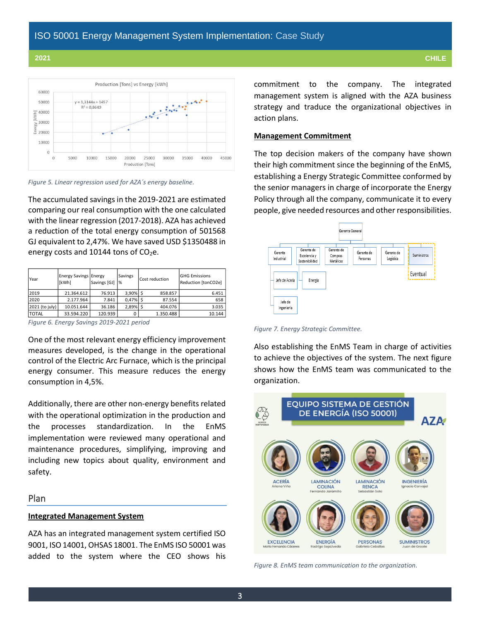

*Figure 5. Linear regression used for AZA´s energy baseline.*

The accumulated savings in the 2019-2021 are estimated comparing our real consumption with the one calculated with the linear regression (2017-2018). AZA has achieved a reduction of the total energy consumption of 501568 GJ equivalent to 2,47%. We have saved USD \$1350488 in energy costs and 10144 tons of  $CO<sub>2</sub>e$ .

| Year                                      | <b>Energy Savings Energy</b><br>[kWh] | Savings [GJ] | Savings<br>% |  | Cost reduction | <b>GHG Emissions</b><br>Reduction [tonCO2e] |
|-------------------------------------------|---------------------------------------|--------------|--------------|--|----------------|---------------------------------------------|
| 2019                                      | 21.364.612                            | 76.913       | $3.90\%$ \$  |  | 858.857        | 6.451                                       |
| 2020                                      | 2.177.964                             | 7.841        | $0.47\%$ \$  |  | 87.554         | 658                                         |
| 2021 (to july)                            | 10.051.644                            | 36.186       | $2.89%$ \$   |  | 404.076        | 3.035                                       |
| <b>TOTAL</b>                              | 33.594.220                            | 120.939      | 0            |  | 1.350.488      | 10.144                                      |
| Figure 6. Energy Savings 2019-2021 period |                                       |              |              |  |                |                                             |

One of the most relevant energy efficiency improvement measures developed, is the change in the operational control of the Electric Arc Furnace, which is the principal energy consumer. This measure reduces the energy consumption in 4,5%.

Additionally, there are other non-energy benefits related with the operational optimization in the production and the processes standardization. In the EnMS implementation were reviewed many operational and maintenance procedures, simplifying, improving and including new topics about quality, environment and safety.

### Plan

### **Integrated Management System**

AZA has an integrated management system certified ISO 9001, ISO 14001, OHSAS 18001. The EnMS ISO 50001 was added to the system where the CEO shows his commitment to the company. The integrated management system is aligned with the AZA business strategy and traduce the organizational objectives in action plans.

### **Management Commitment**

The top decision makers of the company have shown their high commitment since the beginning of the EnMS, establishing a Energy Strategic Committee conformed by the senior managers in charge of incorporate the Energy Policy through all the company, communicate it to every people, give needed resources and other responsibilities.



*Figure 7. Energy Strategic Committee.*

Also establishing the EnMS Team in charge of activities to achieve the objectives of the system. The next figure shows how the EnMS team was communicated to the organization.



*Figure 8. EnMS team communication to the organization.*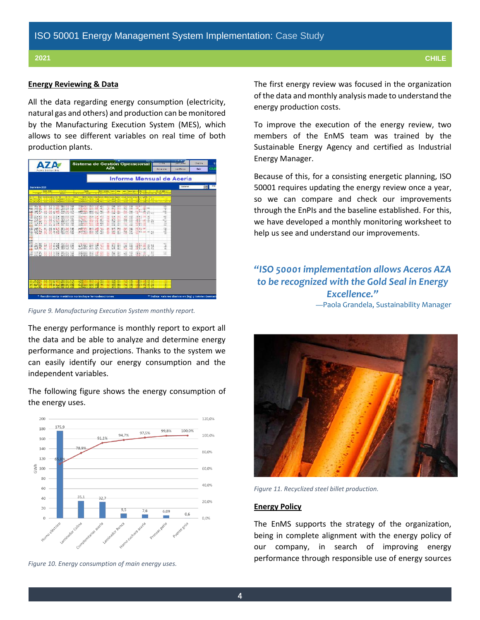#### **Energy Reviewing & Data**

All the data regarding energy consumption (electricity, natural gas and others) and production can be monitored by the Manufacturing Execution System (MES), which allows to see different variables on real time of both production plants.

| Acero Sosten bla                                                                                                                                                                                                  | Sistema de Gestión Operacional<br><b>AZA</b>                                                                                                                                                                                                                      | 1001110<br><b>DANA</b><br>Walter mes                                                                                                             | $-$<br><b>STANDS</b><br>Chatera<br>18<br>$\overline{\mathbf{G}}\mathbf{U}$<br><b>Sell</b> r<br>Law Bease |
|-------------------------------------------------------------------------------------------------------------------------------------------------------------------------------------------------------------------|-------------------------------------------------------------------------------------------------------------------------------------------------------------------------------------------------------------------------------------------------------------------|--------------------------------------------------------------------------------------------------------------------------------------------------|----------------------------------------------------------------------------------------------------------|
|                                                                                                                                                                                                                   |                                                                                                                                                                                                                                                                   | Informe Mensual de Acería                                                                                                                        |                                                                                                          |
| Septiembre 2020                                                                                                                                                                                                   |                                                                                                                                                                                                                                                                   |                                                                                                                                                  | <b>1991</b> 200<br>ingegraph.                                                                            |
| <b>BANK SKAL</b><br><b>A TOWN</b><br>Come in With<br><b>STATIST</b><br><b>BOD ACROSS LANGED AND CALLS</b><br>$-30.56$<br>TO CALL THE REAL MAIN CONTRACTOR TO SERVE<br>DELLA RIVERSIA DESIGNERE SURFICIONE FERIODE | <b>TWON</b><br>Printing firstly Channel Lines, Channel Tuesdo Driving<br>They I am I have been down from the<br><b>Contractor Contracts</b><br>and tends and wide most encounter and tend into intend out to the<br>THE ROOM WAS TIME AND THE ROOM WAS TIGHT THAT | <b>POST CONTRACTOR</b><br>$T$ $R$<br>FIRST UNK LINE TOWER TANK ENGIN<br><b>CONTRACTOR</b> STATE OF A 1990 AND THE                                |                                                                                                          |
| THE R. P. LEWIS CO., LANSING MICH. 49-14039-1-120-2<br><b>M M H M WHAT AN</b><br><b>BOY 1879</b><br><b>地区 86 似 # 图 动活 Mil</b>                                                                                     | THE 49 TO 20 20 A 10 A 10 TO<br>ea<br>5218<br>12-71<br>3.951<br><b>图像新</b> 计<br>怒<br><b>SH</b><br>縣<br>點<br>50<br>勝                                                                                                                                               | <b>Call</b><br>136<br>10/11/11 22:<br>矕<br><b>1981</b> (81 181)<br>26,816<br>×<br>49<br><b>特性调整</b><br><b>Con</b><br>w                           |                                                                                                          |
| 27.4 271 315<br>02 2 2 4 0001215 2079<br><b>STORE 477 1771</b><br><b>String Wa</b><br>2121 101 222 234 2 240 222 233 241 252 253 264 271 272 273 274 275 276 277 278 279 279 279 279 279 279 279 27               | The control of the con-<br>2,66<br>535<br>$15 - 1$<br>128<br><b>DEA</b><br>$5 - 14$<br>21. 1901 2014 2015 2016<br><b>SH</b><br><b>AVE</b><br>44.71<br>1936<br>$10 - 400$<br>超<br>110<br>OUR VALUE DOM:<br>19,880<br>@1"<br>41.38<br>is.                           | <b>图1128 图</b><br>etc)<br>4.05<br>$-0.75$<br><b>VE</b><br>$-0.32$<br><b>DE N 8 8</b><br>egam.<br>侃<br>478<br>1814<br>1.93<br>180 111 130<br>1125 |                                                                                                          |
| 2012년 1월 21일 2023년<br>2012년 1월 21일 2023년<br>图25 匹                                                                                                                                                                 | 11월 2013 3013 12월 301<br>11월 23일 32일 32일<br>53<br>鄂<br>撕<br>ĩπ<br>梬<br>$\frac{49}{96}$<br>部<br>$\frac{1948}{1678}$                                                                                                                                                | 噛<br>图插丝<br>襟<br>LANDIL CO. 81 NO.<br>6141<br>28<br>141<br>Ma                                                                                    |                                                                                                          |
| N.A. 18 K.W., 2021 153, 1188<br>263<br>69.1 351<br>201 Wit<br><b>M G CHA WHAT ARE</b><br>k-al<br>thank the real and as half court rate town                                                                       | 7 14. Alana, 30218. J. 44. J. H.<br>WHU.<br>1314.<br>156<br>9.11<br>6.0.000 WW 30 30<br>柴<br>長定<br>图<br>88<br>The State Hour country and<br>414<br>6.5<br>$W_{11}$<br>12.56                                                                                       | 3.22<br><b>July 4 11, 138</b><br>HI)<br>错<br>(時間の)<br>품정<br><b>SH</b><br><b>Call County Fall Buy</b><br>Vide.<br>W6                              |                                                                                                          |
| 2010 00 31 222 22400 00<br>m                                                                                                                                                                                      | TURNACH 2012 138 454 131 640 2011<br>19.85<br>274 424 374 58 451 13 64 35<br>1025                                                                                                                                                                                 | $\frac{12}{12}$<br>100111-110<br>nist.<br>8.5<br>$_{\text{HH}}$<br>120212-002<br>:00                                                             |                                                                                                          |
|                                                                                                                                                                                                                   |                                                                                                                                                                                                                                                                   |                                                                                                                                                  |                                                                                                          |
| 不得<br>1-94-24 8 851-301-8<br>04 p.m., 200.00                                                                                                                                                                      | <b>Big</b><br>特別 菜品<br>$+30$<br>栅<br>开<br>40.00<br>St.<br>長藤                                                                                                                                                                                                      |                                                                                                                                                  |                                                                                                          |
|                                                                                                                                                                                                                   | * Rendimiento metálico no incluye ferroaleaciones                                                                                                                                                                                                                 |                                                                                                                                                  | ** Indica valores diarios en [kg] y totales (semara                                                      |

*Figure 9. Manufacturing Execution System monthly report.*

The energy performance is monthly report to export all the data and be able to analyze and determine energy performance and projections. Thanks to the system we can easily identify our energy consumption and the independent variables.

The following figure shows the energy consumption of the energy uses.



*Figure 10. Energy consumption of main energy uses.*

The first energy review was focused in the organization of the data and monthly analysis made to understand the energy production costs.

To improve the execution of the energy review, two members of the EnMS team was trained by the Sustainable Energy Agency and certified as Industrial Energy Manager.

Because of this, for a consisting energetic planning, ISO 50001 requires updating the energy review once a year, so we can compare and check our improvements through the EnPIs and the baseline established. For this, we have developed a monthly monitoring worksheet to help us see and understand our improvements.

## *"ISO 50001 implementation allows Aceros AZA to be recognized with the Gold Seal in Energy Excellence."*

—Paola Grandela, Sustainability Manager



*Figure 11. Recyclized steel billet production.*

#### **Energy Policy**

The EnMS supports the strategy of the organization, being in complete alignment with the energy policy of our company, in search of improving energy performance through responsible use of energy sources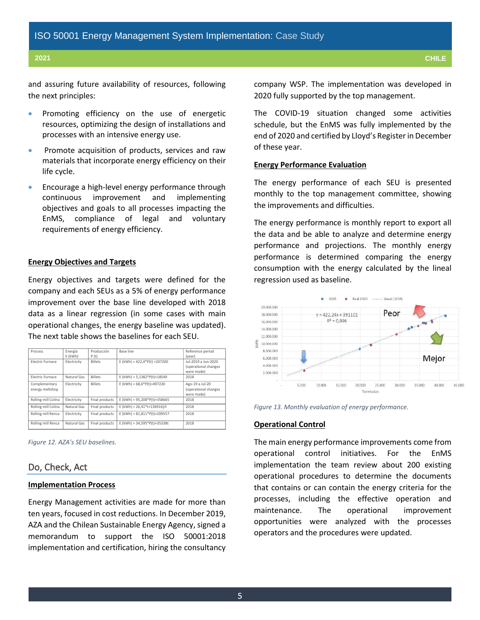and assuring future availability of resources, following the next principles:

- Promoting efficiency on the use of energetic resources, optimizing the design of installations and processes with an intensive energy use.
- Promote acquisition of products, services and raw materials that incorporate energy efficiency on their life cycle.
- Encourage a high-level energy performance through continuous improvement and implementing objectives and goals to all processes impacting the EnMS, compliance of legal and voluntary requirements of energy efficiency.

#### **Energy Objectives and Targets**

Energy objectives and targets were defined for the company and each SEUs as a 5% of energy performance improvement over the base line developed with 2018 data as a linear regression (in some cases with main operational changes, the energy baseline was updated). The next table shows the baselines for each SEU.

| Process                          | Energía<br>$E$ (kWh) | Producción<br>P(t) | Base line                       | Reference period<br>(year)                                |
|----------------------------------|----------------------|--------------------|---------------------------------|-----------------------------------------------------------|
| <b>Electric Eurnace</b>          | Electricity          | <b>Billets</b>     | E (kWh) = $422,4*P(t) + 207200$ | Jul-2019 a Jun-2020<br>(operational changes<br>were made) |
| <b>Electric Eurnace</b>          | Natural Gas          | <b>Billets</b>     | E (kWh) = $5,1382*P(t)+18549$   | 2018                                                      |
| Complementary<br>energy meltshop | Electricity          | <b>Billets</b>     | E (kWh) = $68,6*P(t)+497220$    | Ago-19 a Jul-20<br>(operational changes<br>were made)     |
| Rolling mill Colina              | Electricity          | Final products     | E (kWh) = $95,208*P(t)+358665$  | 2018                                                      |
| Rolling mill Colina              | Natural Gas          | Final products     | E (kWh) = $26.41*t+136916$ )/t  | 2018                                                      |
| Rolling mill Renca               | Electricity          | Final products     | E (kWh) = $81,811*P(t)+209557$  | 2018                                                      |
| Rolling mill Renca               | Natural Gas          | Final products     | E (kWh) = $34,595*P(t)+35338t$  | 2018                                                      |

*Figure 12. AZA's SEU baselines.*

#### Do, Check, Act

#### **Implementation Process**

Energy Management activities are made for more than ten years, focused in cost reductions. In December 2019, AZA and the Chilean Sustainable Energy Agency, signed a memorandum to support the ISO 50001:2018 implementation and certification, hiring the consultancy company WSP. The implementation was developed in 2020 fully supported by the top management.

The COVID-19 situation changed some activities schedule, but the EnMS was fully implemented by the end of 2020 and certified by Lloyd's Register in December of these year.

#### **Energy Performance Evaluation**

The energy performance of each SEU is presented monthly to the top management committee, showing the improvements and difficulties.

The energy performance is monthly report to export all the data and be able to analyze and determine energy performance and projections. The monthly energy performance is determined comparing the energy consumption with the energy calculated by the lineal regression used as baseline.



*Figure 13. Monthly evaluation of energy performance.*

#### **Operational Control**

The main energy performance improvements come from operational control initiatives. For the EnMS implementation the team review about 200 existing operational procedures to determine the documents that contains or can contain the energy criteria for the processes, including the effective operation and maintenance. The operational improvement opportunities were analyzed with the processes operators and the procedures were updated.